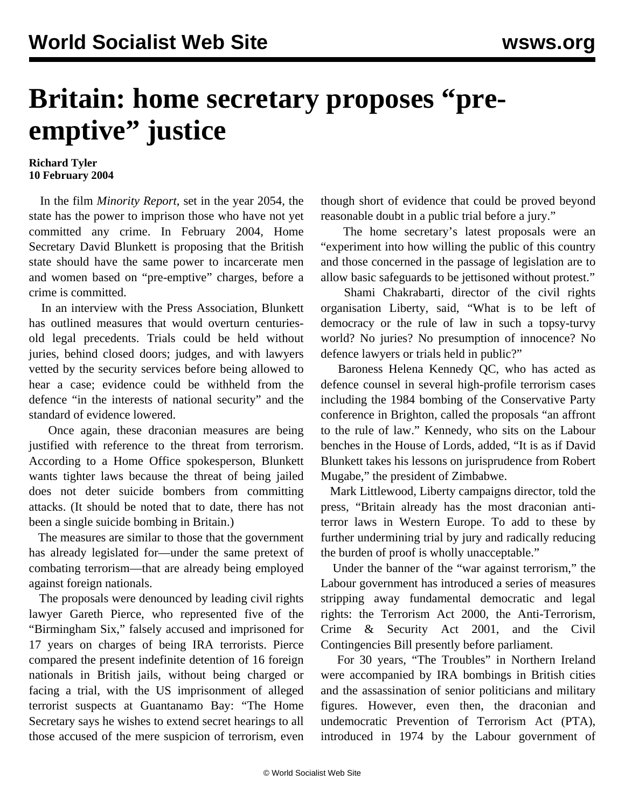## **Britain: home secretary proposes "preemptive" justice**

## **Richard Tyler 10 February 2004**

 In the film *Minority Report*, set in the year 2054, the state has the power to imprison those who have not yet committed any crime. In February 2004, Home Secretary David Blunkett is proposing that the British state should have the same power to incarcerate men and women based on "pre-emptive" charges, before a crime is committed.

 In an interview with the Press Association, Blunkett has outlined measures that would overturn centuriesold legal precedents. Trials could be held without juries, behind closed doors; judges, and with lawyers vetted by the security services before being allowed to hear a case; evidence could be withheld from the defence "in the interests of national security" and the standard of evidence lowered.

 Once again, these draconian measures are being justified with reference to the threat from terrorism. According to a Home Office spokesperson, Blunkett wants tighter laws because the threat of being jailed does not deter suicide bombers from committing attacks. (It should be noted that to date, there has not been a single suicide bombing in Britain.)

 The measures are similar to those that the government has already legislated for—under the same pretext of combating terrorism—that are already being employed against foreign nationals.

 The proposals were denounced by leading civil rights lawyer Gareth Pierce, who represented five of the "Birmingham Six," falsely accused and imprisoned for 17 years on charges of being IRA terrorists. Pierce compared the present indefinite detention of 16 foreign nationals in British jails, without being charged or facing a trial, with the US imprisonment of alleged terrorist suspects at Guantanamo Bay: "The Home Secretary says he wishes to extend secret hearings to all those accused of the mere suspicion of terrorism, even though short of evidence that could be proved beyond reasonable doubt in a public trial before a jury."

 The home secretary's latest proposals were an "experiment into how willing the public of this country and those concerned in the passage of legislation are to allow basic safeguards to be jettisoned without protest."

 Shami Chakrabarti, director of the civil rights organisation Liberty, said, "What is to be left of democracy or the rule of law in such a topsy-turvy world? No juries? No presumption of innocence? No defence lawyers or trials held in public?"

 Baroness Helena Kennedy QC, who has acted as defence counsel in several high-profile terrorism cases including the 1984 bombing of the Conservative Party conference in Brighton, called the proposals "an affront to the rule of law." Kennedy, who sits on the Labour benches in the House of Lords, added, "It is as if David Blunkett takes his lessons on jurisprudence from Robert Mugabe," the president of Zimbabwe.

 Mark Littlewood, Liberty campaigns director, told the press, "Britain already has the most draconian antiterror laws in Western Europe. To add to these by further undermining trial by jury and radically reducing the burden of proof is wholly unacceptable."

 Under the banner of the "war against terrorism," the Labour government has introduced a series of measures stripping away fundamental democratic and legal rights: the Terrorism Act 2000, the Anti-Terrorism, Crime & Security Act 2001, and the Civil Contingencies Bill presently before parliament.

 For 30 years, "The Troubles" in Northern Ireland were accompanied by IRA bombings in British cities and the assassination of senior politicians and military figures. However, even then, the draconian and undemocratic Prevention of Terrorism Act (PTA), introduced in 1974 by the Labour government of